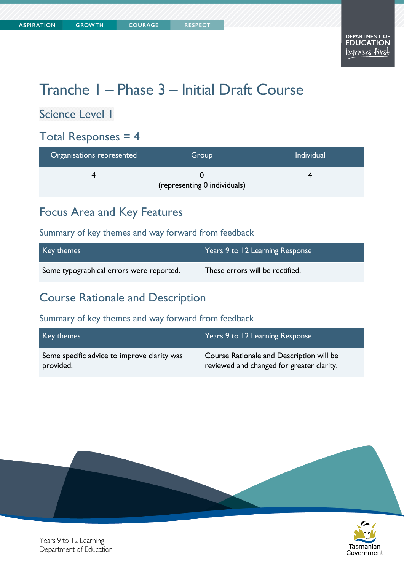# Tranche 1 – Phase 3 – Initial Draft Course

Science Level 1

# Total Responses = 4

| Organisations represented | Group                        | <b>Individual</b> |
|---------------------------|------------------------------|-------------------|
|                           | (representing 0 individuals) |                   |

# Focus Area and Key Features

#### Summary of key themes and way forward from feedback

| Key themes                               | Years 9 to 12 Learning Response |
|------------------------------------------|---------------------------------|
| Some typographical errors were reported. | These errors will be rectified. |

### Course Rationale and Description

#### Summary of key themes and way forward from feedback

| Key themes                                  | Years 9 to 12 Learning Response           |
|---------------------------------------------|-------------------------------------------|
| Some specific advice to improve clarity was | Course Rationale and Description will be  |
| provided.                                   | reviewed and changed for greater clarity. |





Years 9 to 12 Learning Department of Education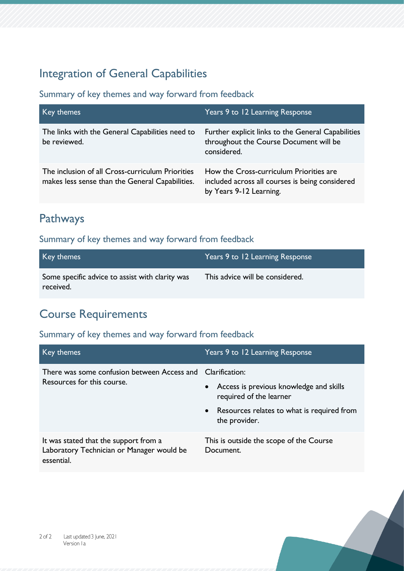# Integration of General Capabilities

#### Summary of key themes and way forward from feedback

| Key themes                                                                                          | Years 9 to 12 Learning Response                                                                                       |
|-----------------------------------------------------------------------------------------------------|-----------------------------------------------------------------------------------------------------------------------|
| The links with the General Capabilities need to<br>be reviewed.                                     | Further explicit links to the General Capabilities<br>throughout the Course Document will be<br>considered.           |
| The inclusion of all Cross-curriculum Priorities<br>makes less sense than the General Capabilities. | How the Cross-curriculum Priorities are<br>included across all courses is being considered<br>by Years 9-12 Learning. |

# Pathways

#### Summary of key themes and way forward from feedback

| Key themes                                                   | Years 9 to 12 Learning Response |
|--------------------------------------------------------------|---------------------------------|
| Some specific advice to assist with clarity was<br>received. | This advice will be considered. |

### Course Requirements

| Key themes                                                                                       | Years 9 to 12 Learning Response                                      |
|--------------------------------------------------------------------------------------------------|----------------------------------------------------------------------|
| There was some confusion between Access and Clarification:                                       |                                                                      |
| Resources for this course.                                                                       | • Access is previous knowledge and skills<br>required of the learner |
|                                                                                                  | • Resources relates to what is required from<br>the provider.        |
| It was stated that the support from a<br>Laboratory Technician or Manager would be<br>essential. | This is outside the scope of the Course<br>Document.                 |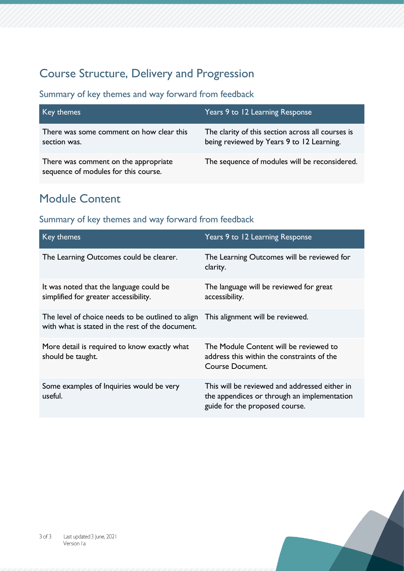# Course Structure, Delivery and Progression

Summary of key themes and way forward from feedback

| Key themes                                                                   | Years 9 to 12 Learning Response                                                                |
|------------------------------------------------------------------------------|------------------------------------------------------------------------------------------------|
| There was some comment on how clear this<br>section was.                     | The clarity of this section across all courses is<br>being reviewed by Years 9 to 12 Learning. |
| There was comment on the appropriate<br>sequence of modules for this course. | The sequence of modules will be reconsidered.                                                  |

# Module Content

| Key themes                                                                                            | Years 9 to 12 Learning Response                                                                                                |
|-------------------------------------------------------------------------------------------------------|--------------------------------------------------------------------------------------------------------------------------------|
| The Learning Outcomes could be clearer.                                                               | The Learning Outcomes will be reviewed for<br>clarity.                                                                         |
| It was noted that the language could be<br>simplified for greater accessibility.                      | The language will be reviewed for great<br>accessibility.                                                                      |
| The level of choice needs to be outlined to align<br>with what is stated in the rest of the document. | This alignment will be reviewed.                                                                                               |
| More detail is required to know exactly what<br>should be taught.                                     | The Module Content will be reviewed to<br>address this within the constraints of the<br>Course Document.                       |
| Some examples of Inquiries would be very<br>useful.                                                   | This will be reviewed and addressed either in<br>the appendices or through an implementation<br>guide for the proposed course. |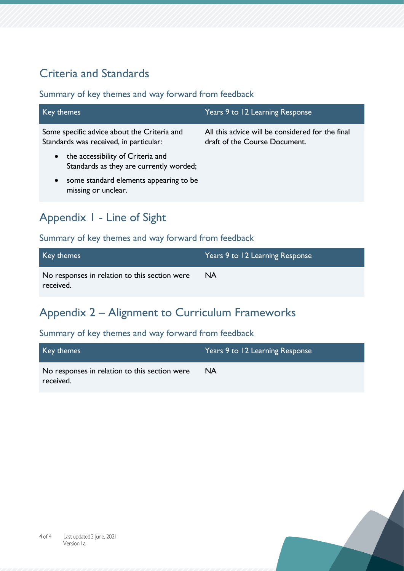# Criteria and Standards

Summary of key themes and way forward from feedback

| Key themes                                                                                                                                       | Years 9 to 12 Learning Response                                                   |
|--------------------------------------------------------------------------------------------------------------------------------------------------|-----------------------------------------------------------------------------------|
| Some specific advice about the Criteria and<br>Standards was received, in particular:                                                            | All this advice will be considered for the final<br>draft of the Course Document. |
| the accessibility of Criteria and<br>$\bullet$<br>Standards as they are currently worded;<br>some standard elements appearing to be<br>$\bullet$ |                                                                                   |
| missing or unclear.                                                                                                                              |                                                                                   |

# Appendix 1 - Line of Sight

#### Summary of key themes and way forward from feedback

| Key themes                                                 | Years 9 to 12 Learning Response |
|------------------------------------------------------------|---------------------------------|
| No responses in relation to this section were<br>received. | <b>NA</b>                       |

# Appendix 2 – Alignment to Curriculum Frameworks

| Key themes                                    | Years 9 to 12 Learning Response |
|-----------------------------------------------|---------------------------------|
| No responses in relation to this section were | <b>NA</b>                       |
| received.                                     |                                 |